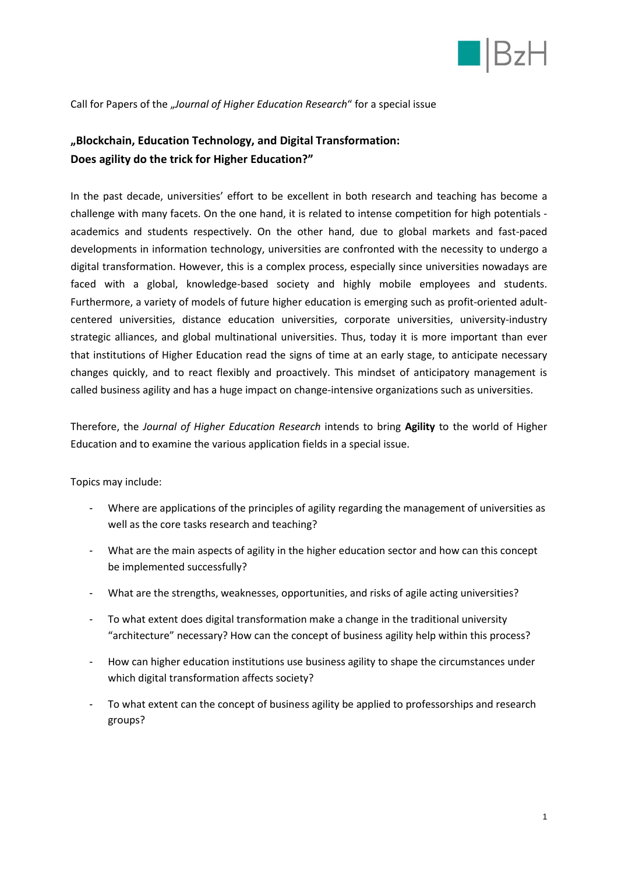

Call for Papers of the "*Journal of Higher Education Research*" for a special issue

## **"Blockchain, Education Technology, and Digital Transformation: Does agility do the trick for Higher Education?"**

In the past decade, universities' effort to be excellent in both research and teaching has become a challenge with many facets. On the one hand, it is related to intense competition for high potentials academics and students respectively. On the other hand, due to global markets and fast-paced developments in information technology, universities are confronted with the necessity to undergo a digital transformation. However, this is a complex process, especially since universities nowadays are faced with a global, knowledge-based society and highly mobile employees and students. Furthermore, a variety of models of future higher education is emerging such as profit-oriented adultcentered universities, distance education universities, corporate universities, university-industry strategic alliances, and global multinational universities. Thus, today it is more important than ever that institutions of Higher Education read the signs of time at an early stage, to anticipate necessary changes quickly, and to react flexibly and proactively. This mindset of anticipatory management is called business agility and has a huge impact on change-intensive organizations such as universities.

Therefore, the *Journal of Higher Education Research* intends to bring **Agility** to the world of Higher Education and to examine the various application fields in a special issue.

Topics may include:

- Where are applications of the principles of agility regarding the management of universities as well as the core tasks research and teaching?
- What are the main aspects of agility in the higher education sector and how can this concept be implemented successfully?
- What are the strengths, weaknesses, opportunities, and risks of agile acting universities?
- To what extent does digital transformation make a change in the traditional university "architecture" necessary? How can the concept of business agility help within this process?
- How can higher education institutions use business agility to shape the circumstances under which digital transformation affects society?
- To what extent can the concept of business agility be applied to professorships and research groups?